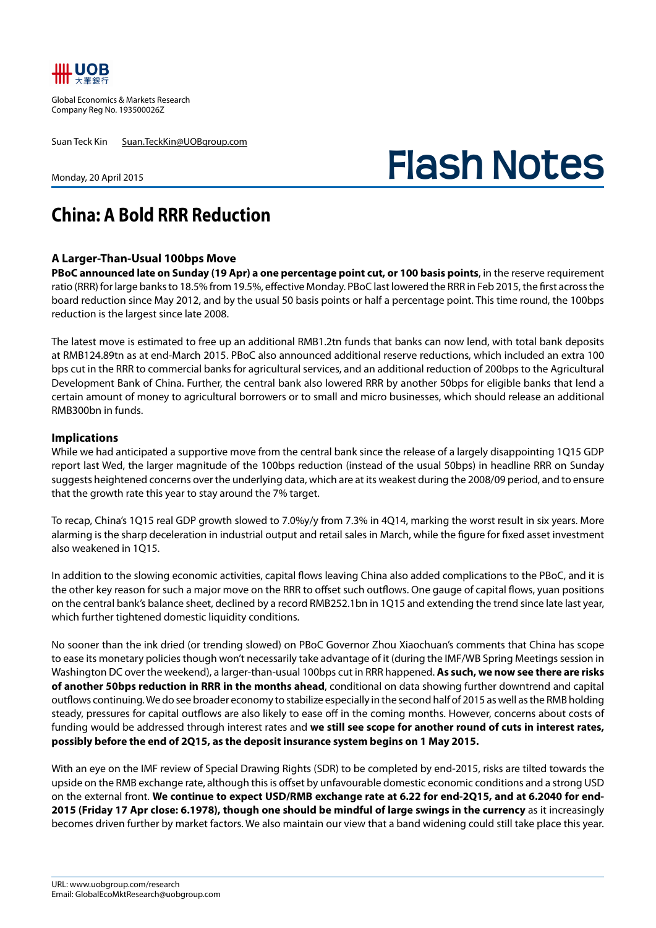

Global Economics & Markets Research Company Reg No. 193500026Z

Suan Teck Kin Suan.TeckKin@UOBgroup.com

Monday, 20 April 2015

## **Flash Notes**

## **China: A Bold RRR Reduction**

## **A Larger-Than-Usual 100bps Move**

**PBoC announced late on Sunday (19 Apr) a one percentage point cut, or 100 basis points**, in the reserve requirement ratio (RRR) for large banks to 18.5% from 19.5%, effective Monday. PBoC last lowered the RRR in Feb 2015, the first across the board reduction since May 2012, and by the usual 50 basis points or half a percentage point. This time round, the 100bps reduction is the largest since late 2008.

The latest move is estimated to free up an additional RMB1.2tn funds that banks can now lend, with total bank deposits at RMB124.89tn as at end-March 2015. PBoC also announced additional reserve reductions, which included an extra 100 bps cut in the RRR to commercial banks for agricultural services, and an additional reduction of 200bps to the Agricultural Development Bank of China. Further, the central bank also lowered RRR by another 50bps for eligible banks that lend a certain amount of money to agricultural borrowers or to small and micro businesses, which should release an additional RMB300bn in funds.

## **Implications**

While we had anticipated a supportive move from the central bank since the release of a largely disappointing 1Q15 GDP report last Wed, the larger magnitude of the 100bps reduction (instead of the usual 50bps) in headline RRR on Sunday suggests heightened concerns over the underlying data, which are at its weakest during the 2008/09 period, and to ensure that the growth rate this year to stay around the 7% target.

To recap, China's 1Q15 real GDP growth slowed to 7.0%y/y from 7.3% in 4Q14, marking the worst result in six years. More alarming is the sharp deceleration in industrial output and retail sales in March, while the figure for fixed asset investment also weakened in 1Q15.

In addition to the slowing economic activities, capital flows leaving China also added complications to the PBoC, and it is the other key reason for such a major move on the RRR to offset such outflows. One gauge of capital flows, yuan positions on the central bank's balance sheet, declined by a record RMB252.1bn in 1Q15 and extending the trend since late last year, which further tightened domestic liquidity conditions.

No sooner than the ink dried (or trending slowed) on PBoC Governor Zhou Xiaochuan's comments that China has scope to ease its monetary policies though won't necessarily take advantage of it (during the IMF/WB Spring Meetings session in Washington DC over the weekend), a larger-than-usual 100bps cut in RRR happened. **As such, we now see there are risks of another 50bps reduction in RRR in the months ahead**, conditional on data showing further downtrend and capital outflows continuing. We do see broader economy to stabilize especially in the second half of 2015 as well as the RMB holding steady, pressures for capital outflows are also likely to ease off in the coming months. However, concerns about costs of funding would be addressed through interest rates and **we still see scope for another round of cuts in interest rates, possibly before the end of 2Q15, as the deposit insurance system begins on 1 May 2015.** 

With an eye on the IMF review of Special Drawing Rights (SDR) to be completed by end-2015, risks are tilted towards the upside on the RMB exchange rate, although this is offset by unfavourable domestic economic conditions and a strong USD on the external front. **We continue to expect USD/RMB exchange rate at 6.22 for end-2Q15, and at 6.2040 for end-2015 (Friday 17 Apr close: 6.1978), though one should be mindful of large swings in the currency** as it increasingly becomes driven further by market factors. We also maintain our view that a band widening could still take place this year.